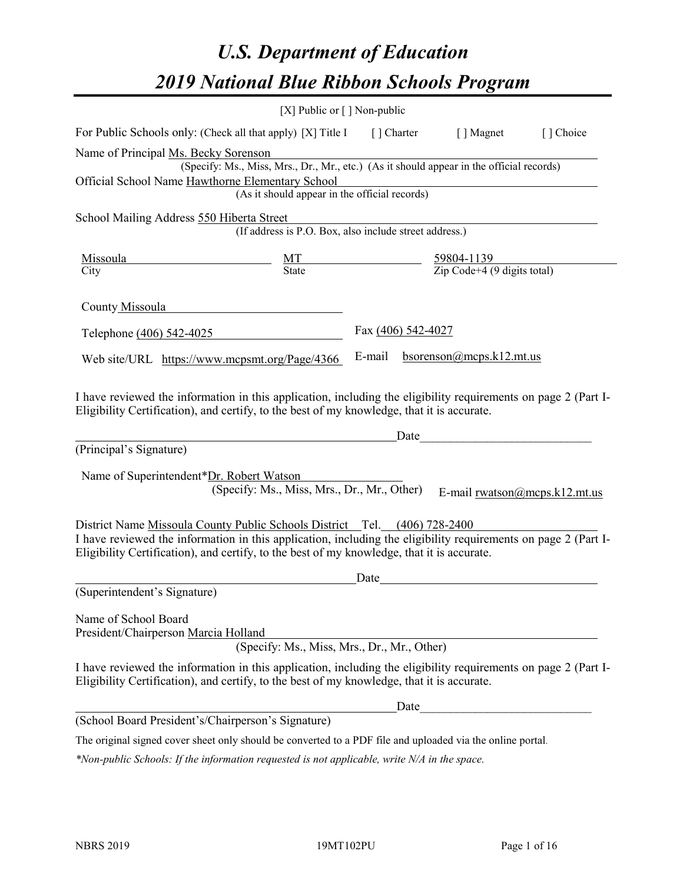# *U.S. Department of Education 2019 National Blue Ribbon Schools Program*

|                                                                                                                                                                                                              | [X] Public or $\lceil$ ] Non-public                                                      |                    |                                                         |           |
|--------------------------------------------------------------------------------------------------------------------------------------------------------------------------------------------------------------|------------------------------------------------------------------------------------------|--------------------|---------------------------------------------------------|-----------|
| For Public Schools only: (Check all that apply) [X] Title I                                                                                                                                                  |                                                                                          | [ ] Charter        | [ ] Magnet                                              | [] Choice |
| Name of Principal Ms. Becky Sorenson                                                                                                                                                                         | (Specify: Ms., Miss, Mrs., Dr., Mr., etc.) (As it should appear in the official records) |                    |                                                         |           |
| Official School Name Hawthorne Elementary School                                                                                                                                                             |                                                                                          |                    |                                                         |           |
|                                                                                                                                                                                                              | (As it should appear in the official records)                                            |                    |                                                         |           |
| School Mailing Address 550 Hiberta Street                                                                                                                                                                    |                                                                                          |                    |                                                         |           |
|                                                                                                                                                                                                              | (If address is P.O. Box, also include street address.)                                   |                    |                                                         |           |
| Missoula                                                                                                                                                                                                     | $\frac{MT}{State}$                                                                       |                    | $\frac{59804-1139}{\text{Zip Code}+4 (9 digits total)}$ |           |
| City                                                                                                                                                                                                         |                                                                                          |                    |                                                         |           |
| County Missoula                                                                                                                                                                                              |                                                                                          |                    |                                                         |           |
| Telephone (406) 542-4025                                                                                                                                                                                     |                                                                                          | Fax (406) 542-4027 |                                                         |           |
| Web site/URL https://www.mcpsmt.org/Page/4366                                                                                                                                                                |                                                                                          | E-mail             | bsorenson@mcps.k12.mt.us                                |           |
| (Principal's Signature)<br>Name of Superintendent*Dr. Robert Watson                                                                                                                                          |                                                                                          | Date               |                                                         |           |
|                                                                                                                                                                                                              | (Specify: Ms., Miss, Mrs., Dr., Mr., Other)                                              |                    | E-mail rwatson@mcps.k12.mt.us                           |           |
| District Name Missoula County Public Schools District Tel. (406) 728-2400                                                                                                                                    |                                                                                          |                    |                                                         |           |
| I have reviewed the information in this application, including the eligibility requirements on page 2 (Part I-<br>Eligibility Certification), and certify, to the best of my knowledge, that it is accurate. |                                                                                          |                    |                                                         |           |
|                                                                                                                                                                                                              |                                                                                          | Date               |                                                         |           |
| (Superintendent's Signature)                                                                                                                                                                                 |                                                                                          |                    |                                                         |           |
| Name of School Board<br>President/Chairperson Marcia Holland                                                                                                                                                 | (Specify: Ms., Miss, Mrs., Dr., Mr., Other)                                              |                    |                                                         |           |
| I have reviewed the information in this application, including the eligibility requirements on page 2 (Part I-<br>Eligibility Certification), and certify, to the best of my knowledge, that it is accurate. |                                                                                          |                    |                                                         |           |
|                                                                                                                                                                                                              |                                                                                          | Date               |                                                         |           |
| (School Board President's/Chairperson's Signature)                                                                                                                                                           |                                                                                          |                    |                                                         |           |
| The original signed cover sheet only should be converted to a PDF file and uploaded via the online portal.                                                                                                   |                                                                                          |                    |                                                         |           |

*\*Non-public Schools: If the information requested is not applicable, write N/A in the space.*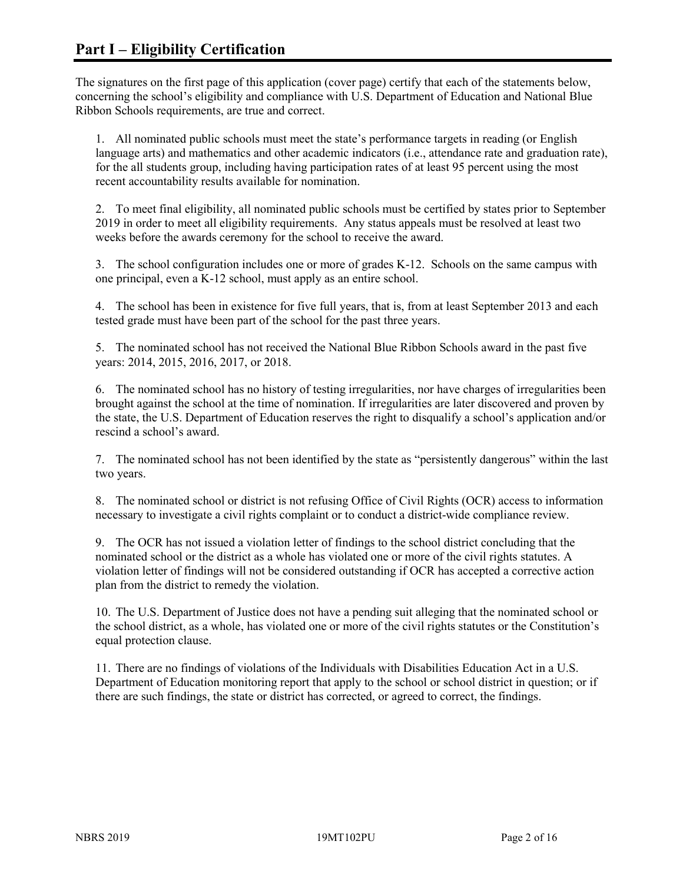The signatures on the first page of this application (cover page) certify that each of the statements below, concerning the school's eligibility and compliance with U.S. Department of Education and National Blue Ribbon Schools requirements, are true and correct.

1. All nominated public schools must meet the state's performance targets in reading (or English language arts) and mathematics and other academic indicators (i.e., attendance rate and graduation rate), for the all students group, including having participation rates of at least 95 percent using the most recent accountability results available for nomination.

2. To meet final eligibility, all nominated public schools must be certified by states prior to September 2019 in order to meet all eligibility requirements. Any status appeals must be resolved at least two weeks before the awards ceremony for the school to receive the award.

3. The school configuration includes one or more of grades K-12. Schools on the same campus with one principal, even a K-12 school, must apply as an entire school.

4. The school has been in existence for five full years, that is, from at least September 2013 and each tested grade must have been part of the school for the past three years.

5. The nominated school has not received the National Blue Ribbon Schools award in the past five years: 2014, 2015, 2016, 2017, or 2018.

6. The nominated school has no history of testing irregularities, nor have charges of irregularities been brought against the school at the time of nomination. If irregularities are later discovered and proven by the state, the U.S. Department of Education reserves the right to disqualify a school's application and/or rescind a school's award.

7. The nominated school has not been identified by the state as "persistently dangerous" within the last two years.

8. The nominated school or district is not refusing Office of Civil Rights (OCR) access to information necessary to investigate a civil rights complaint or to conduct a district-wide compliance review.

9. The OCR has not issued a violation letter of findings to the school district concluding that the nominated school or the district as a whole has violated one or more of the civil rights statutes. A violation letter of findings will not be considered outstanding if OCR has accepted a corrective action plan from the district to remedy the violation.

10. The U.S. Department of Justice does not have a pending suit alleging that the nominated school or the school district, as a whole, has violated one or more of the civil rights statutes or the Constitution's equal protection clause.

11. There are no findings of violations of the Individuals with Disabilities Education Act in a U.S. Department of Education monitoring report that apply to the school or school district in question; or if there are such findings, the state or district has corrected, or agreed to correct, the findings.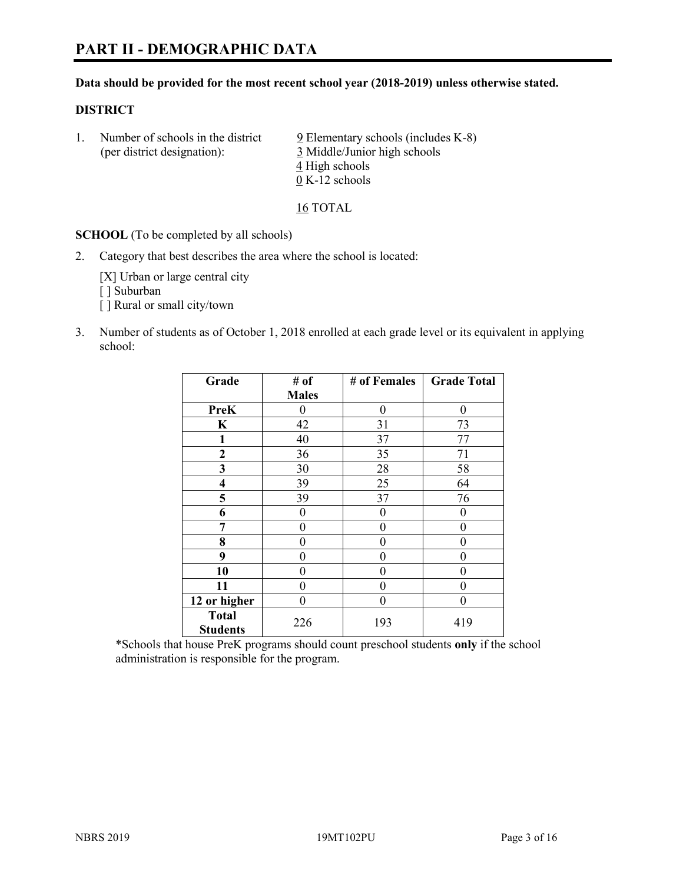#### **Data should be provided for the most recent school year (2018-2019) unless otherwise stated.**

#### **DISTRICT**

1. Number of schools in the district  $9$  Elementary schools (includes K-8) (per district designation): 3 Middle/Junior high schools 4 High schools 0 K-12 schools

16 TOTAL

**SCHOOL** (To be completed by all schools)

2. Category that best describes the area where the school is located:

[X] Urban or large central city [ ] Suburban [] Rural or small city/town

3. Number of students as of October 1, 2018 enrolled at each grade level or its equivalent in applying school:

| Grade           | # of         | # of Females | <b>Grade Total</b> |
|-----------------|--------------|--------------|--------------------|
|                 | <b>Males</b> |              |                    |
| <b>PreK</b>     | $\theta$     | $\theta$     | 0                  |
| $\mathbf K$     | 42           | 31           | 73                 |
| 1               | 40           | 37           | 77                 |
| $\mathbf{2}$    | 36           | 35           | 71                 |
| 3               | 30           | 28           | 58                 |
| 4               | 39           | 25           | 64                 |
| 5               | 39           | 37           | 76                 |
| 6               | 0            | 0            | 0                  |
| 7               | 0            | 0            | 0                  |
| 8               | 0            | $\theta$     | 0                  |
| 9               | 0            | 0            | 0                  |
| 10              | 0            | 0            | 0                  |
| 11              | $\theta$     | 0            | 0                  |
| 12 or higher    | 0            | 0            | 0                  |
| <b>Total</b>    | 226          | 193          | 419                |
| <b>Students</b> |              |              |                    |

\*Schools that house PreK programs should count preschool students **only** if the school administration is responsible for the program.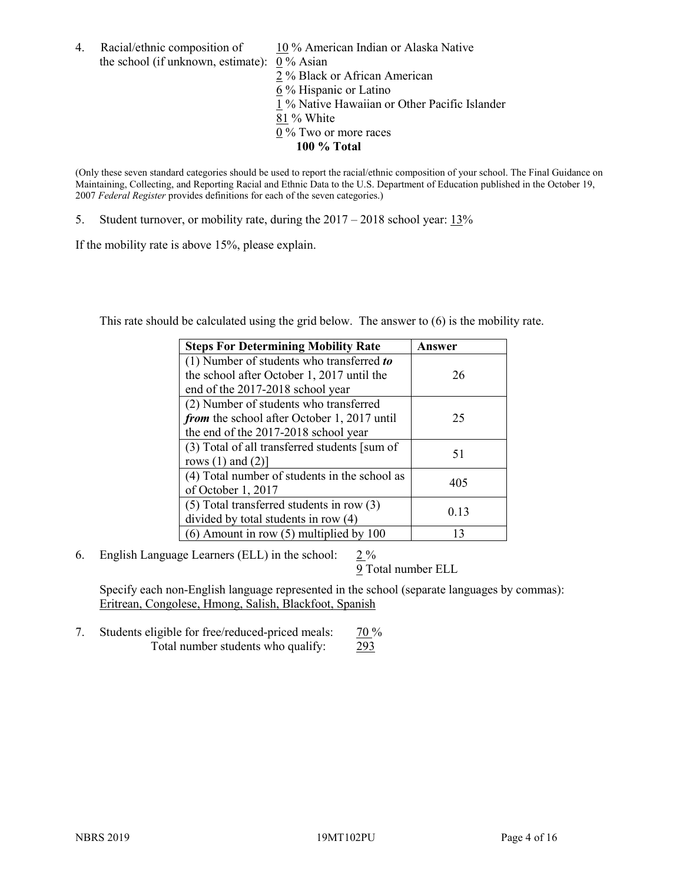- 4. Racial/ethnic composition of  $10\%$  American Indian or Alaska Native the school (if unknown, estimate): 0 % Asian 2 % Black or African American 6 % Hispanic or Latino 1 % Native Hawaiian or Other Pacific Islander
	- 81 % White
	- 0 % Two or more races
		- **100 % Total**

(Only these seven standard categories should be used to report the racial/ethnic composition of your school. The Final Guidance on Maintaining, Collecting, and Reporting Racial and Ethnic Data to the U.S. Department of Education published in the October 19, 2007 *Federal Register* provides definitions for each of the seven categories.)

5. Student turnover, or mobility rate, during the 2017 – 2018 school year: 13%

If the mobility rate is above 15%, please explain.

This rate should be calculated using the grid below. The answer to (6) is the mobility rate.

| <b>Steps For Determining Mobility Rate</b>    | Answer |
|-----------------------------------------------|--------|
| (1) Number of students who transferred to     |        |
| the school after October 1, 2017 until the    | 26     |
| end of the 2017-2018 school year              |        |
| (2) Number of students who transferred        |        |
| from the school after October 1, 2017 until   | 25     |
| the end of the 2017-2018 school year          |        |
| (3) Total of all transferred students [sum of | 51     |
| rows $(1)$ and $(2)$ ]                        |        |
| (4) Total number of students in the school as | 405    |
| of October 1, 2017                            |        |
| $(5)$ Total transferred students in row $(3)$ | 0.13   |
| divided by total students in row (4)          |        |
| $(6)$ Amount in row $(5)$ multiplied by 100   | 13     |

6. English Language Learners (ELL) in the school:  $2\%$ 

9 Total number ELL

Specify each non-English language represented in the school (separate languages by commas): Eritrean, Congolese, Hmong, Salish, Blackfoot, Spanish

7. Students eligible for free/reduced-priced meals:  $\frac{70\%}{ }$ Total number students who qualify: 293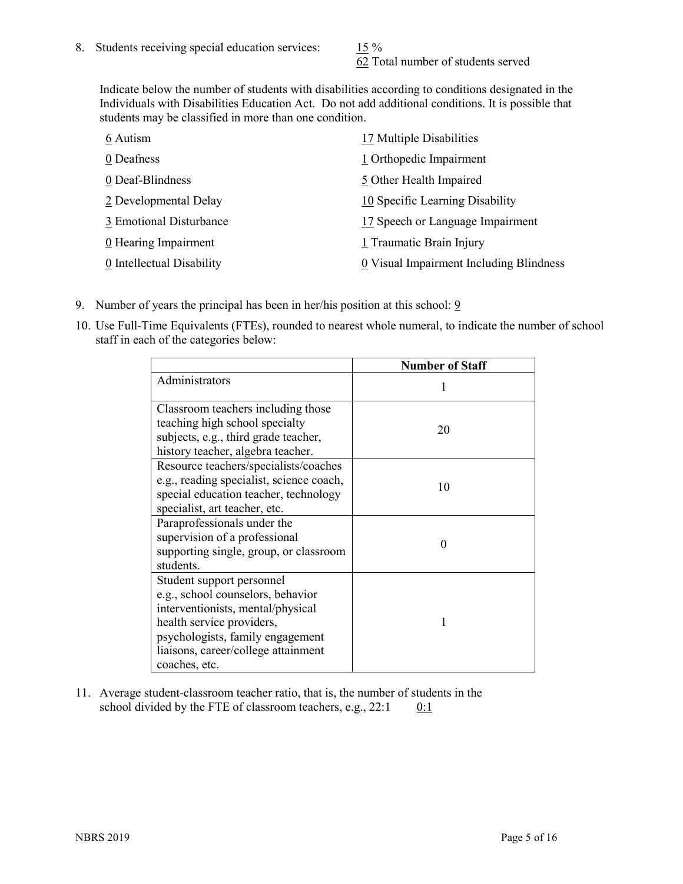62 Total number of students served

Indicate below the number of students with disabilities according to conditions designated in the Individuals with Disabilities Education Act. Do not add additional conditions. It is possible that students may be classified in more than one condition.

| 6 Autism                  | 17 Multiple Disabilities                |
|---------------------------|-----------------------------------------|
| 0 Deafness                | 1 Orthopedic Impairment                 |
| 0 Deaf-Blindness          | 5 Other Health Impaired                 |
| 2 Developmental Delay     | 10 Specific Learning Disability         |
| 3 Emotional Disturbance   | 17 Speech or Language Impairment        |
| 0 Hearing Impairment      | 1 Traumatic Brain Injury                |
| 0 Intellectual Disability | 0 Visual Impairment Including Blindness |

- 9. Number of years the principal has been in her/his position at this school:  $9$
- 10. Use Full-Time Equivalents (FTEs), rounded to nearest whole numeral, to indicate the number of school staff in each of the categories below:

|                                                                                                                                                                                                                              | <b>Number of Staff</b> |
|------------------------------------------------------------------------------------------------------------------------------------------------------------------------------------------------------------------------------|------------------------|
| Administrators                                                                                                                                                                                                               |                        |
| Classroom teachers including those<br>teaching high school specialty<br>subjects, e.g., third grade teacher,<br>history teacher, algebra teacher.                                                                            | 20                     |
| Resource teachers/specialists/coaches<br>e.g., reading specialist, science coach,<br>special education teacher, technology<br>specialist, art teacher, etc.                                                                  | 10                     |
| Paraprofessionals under the<br>supervision of a professional<br>supporting single, group, or classroom<br>students.                                                                                                          | 0                      |
| Student support personnel<br>e.g., school counselors, behavior<br>interventionists, mental/physical<br>health service providers,<br>psychologists, family engagement<br>liaisons, career/college attainment<br>coaches, etc. |                        |

11. Average student-classroom teacher ratio, that is, the number of students in the school divided by the FTE of classroom teachers, e.g.,  $22:1$  0:1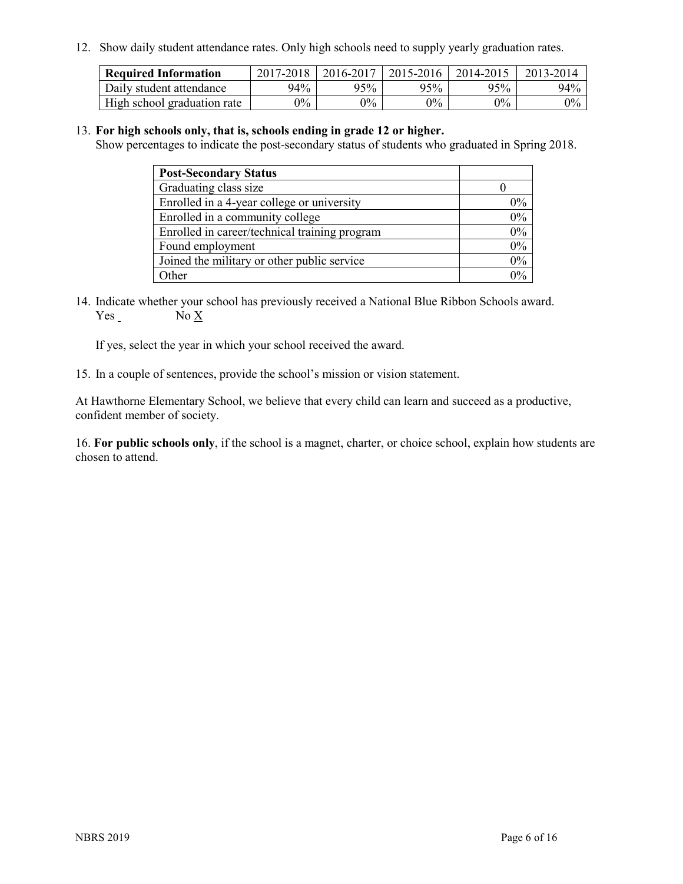12. Show daily student attendance rates. Only high schools need to supply yearly graduation rates.

| <b>Required Information</b> | 2017-2018 | 2016-2017 | 2015-2016 | 2014-2015 | 2013-2014 |
|-----------------------------|-----------|-----------|-----------|-----------|-----------|
| Daily student attendance    | 94%       | 95%       | 95%       | 95%       | 94%       |
| High school graduation rate | $0\%$     | $0\%$     | $0\%$     | $9\%$     | $0\%$     |

#### 13. **For high schools only, that is, schools ending in grade 12 or higher.**

Show percentages to indicate the post-secondary status of students who graduated in Spring 2018.

| <b>Post-Secondary Status</b>                  |       |
|-----------------------------------------------|-------|
| Graduating class size                         |       |
| Enrolled in a 4-year college or university    | $0\%$ |
| Enrolled in a community college               | 0%    |
| Enrolled in career/technical training program | 0%    |
| Found employment                              | 0%    |
| Joined the military or other public service   | 0%    |
| Other                                         | $0\%$ |

14. Indicate whether your school has previously received a National Blue Ribbon Schools award. Yes No X

If yes, select the year in which your school received the award.

15. In a couple of sentences, provide the school's mission or vision statement.

At Hawthorne Elementary School, we believe that every child can learn and succeed as a productive, confident member of society.

16. **For public schools only**, if the school is a magnet, charter, or choice school, explain how students are chosen to attend.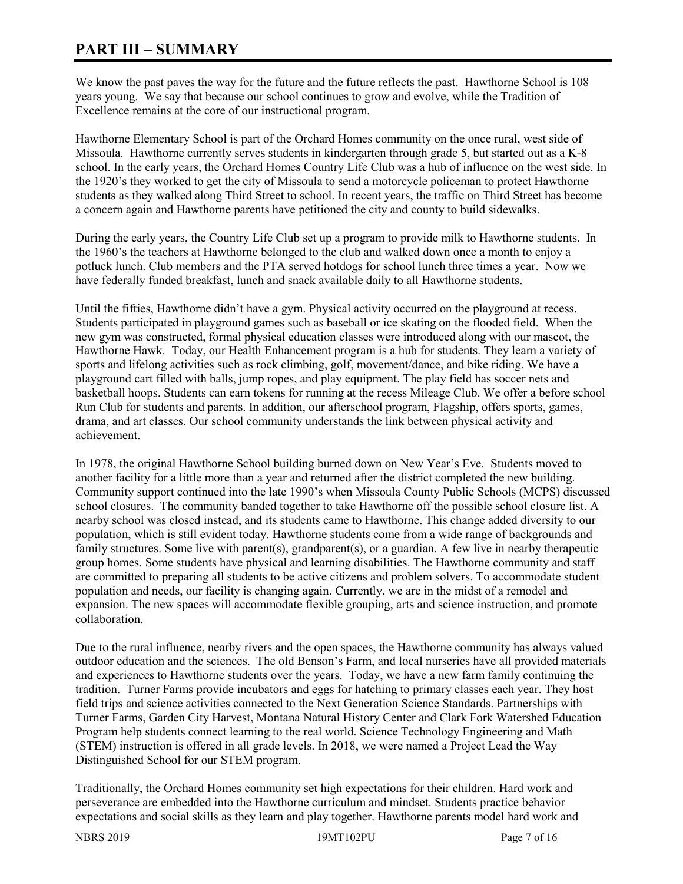# **PART III – SUMMARY**

We know the past paves the way for the future and the future reflects the past. Hawthorne School is 108 years young. We say that because our school continues to grow and evolve, while the Tradition of Excellence remains at the core of our instructional program.

Hawthorne Elementary School is part of the Orchard Homes community on the once rural, west side of Missoula. Hawthorne currently serves students in kindergarten through grade 5, but started out as a K-8 school. In the early years, the Orchard Homes Country Life Club was a hub of influence on the west side. In the 1920's they worked to get the city of Missoula to send a motorcycle policeman to protect Hawthorne students as they walked along Third Street to school. In recent years, the traffic on Third Street has become a concern again and Hawthorne parents have petitioned the city and county to build sidewalks.

During the early years, the Country Life Club set up a program to provide milk to Hawthorne students. In the 1960's the teachers at Hawthorne belonged to the club and walked down once a month to enjoy a potluck lunch. Club members and the PTA served hotdogs for school lunch three times a year. Now we have federally funded breakfast, lunch and snack available daily to all Hawthorne students.

Until the fifties, Hawthorne didn't have a gym. Physical activity occurred on the playground at recess. Students participated in playground games such as baseball or ice skating on the flooded field. When the new gym was constructed, formal physical education classes were introduced along with our mascot, the Hawthorne Hawk. Today, our Health Enhancement program is a hub for students. They learn a variety of sports and lifelong activities such as rock climbing, golf, movement/dance, and bike riding. We have a playground cart filled with balls, jump ropes, and play equipment. The play field has soccer nets and basketball hoops. Students can earn tokens for running at the recess Mileage Club. We offer a before school Run Club for students and parents. In addition, our afterschool program, Flagship, offers sports, games, drama, and art classes. Our school community understands the link between physical activity and achievement.

In 1978, the original Hawthorne School building burned down on New Year's Eve. Students moved to another facility for a little more than a year and returned after the district completed the new building. Community support continued into the late 1990's when Missoula County Public Schools (MCPS) discussed school closures. The community banded together to take Hawthorne off the possible school closure list. A nearby school was closed instead, and its students came to Hawthorne. This change added diversity to our population, which is still evident today. Hawthorne students come from a wide range of backgrounds and family structures. Some live with parent(s), grandparent(s), or a guardian. A few live in nearby therapeutic group homes. Some students have physical and learning disabilities. The Hawthorne community and staff are committed to preparing all students to be active citizens and problem solvers. To accommodate student population and needs, our facility is changing again. Currently, we are in the midst of a remodel and expansion. The new spaces will accommodate flexible grouping, arts and science instruction, and promote collaboration.

Due to the rural influence, nearby rivers and the open spaces, the Hawthorne community has always valued outdoor education and the sciences. The old Benson's Farm, and local nurseries have all provided materials and experiences to Hawthorne students over the years. Today, we have a new farm family continuing the tradition. Turner Farms provide incubators and eggs for hatching to primary classes each year. They host field trips and science activities connected to the Next Generation Science Standards. Partnerships with Turner Farms, Garden City Harvest, Montana Natural History Center and Clark Fork Watershed Education Program help students connect learning to the real world. Science Technology Engineering and Math (STEM) instruction is offered in all grade levels. In 2018, we were named a Project Lead the Way Distinguished School for our STEM program.

Traditionally, the Orchard Homes community set high expectations for their children. Hard work and perseverance are embedded into the Hawthorne curriculum and mindset. Students practice behavior expectations and social skills as they learn and play together. Hawthorne parents model hard work and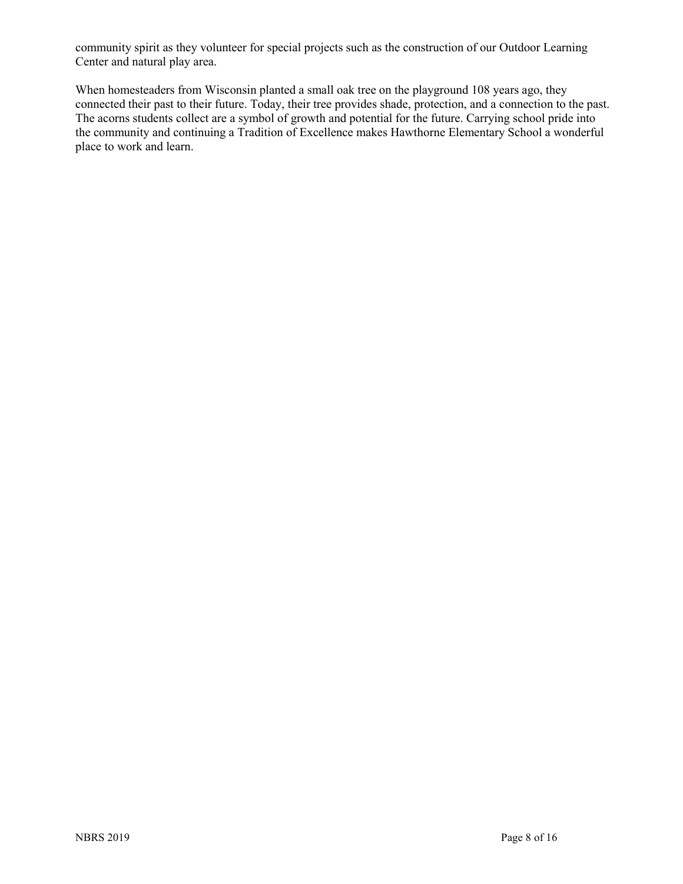community spirit as they volunteer for special projects such as the construction of our Outdoor Learning Center and natural play area.

When homesteaders from Wisconsin planted a small oak tree on the playground 108 years ago, they connected their past to their future. Today, their tree provides shade, protection, and a connection to the past. The acorns students collect are a symbol of growth and potential for the future. Carrying school pride into the community and continuing a Tradition of Excellence makes Hawthorne Elementary School a wonderful place to work and learn.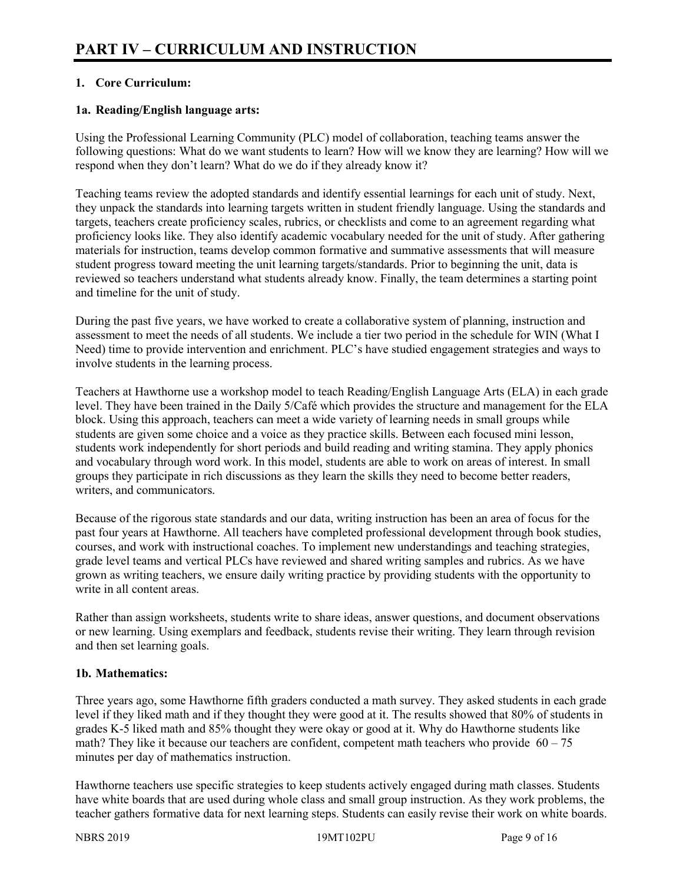# **1. Core Curriculum:**

### **1a. Reading/English language arts:**

Using the Professional Learning Community (PLC) model of collaboration, teaching teams answer the following questions: What do we want students to learn? How will we know they are learning? How will we respond when they don't learn? What do we do if they already know it?

Teaching teams review the adopted standards and identify essential learnings for each unit of study. Next, they unpack the standards into learning targets written in student friendly language. Using the standards and targets, teachers create proficiency scales, rubrics, or checklists and come to an agreement regarding what proficiency looks like. They also identify academic vocabulary needed for the unit of study. After gathering materials for instruction, teams develop common formative and summative assessments that will measure student progress toward meeting the unit learning targets/standards. Prior to beginning the unit, data is reviewed so teachers understand what students already know. Finally, the team determines a starting point and timeline for the unit of study.

During the past five years, we have worked to create a collaborative system of planning, instruction and assessment to meet the needs of all students. We include a tier two period in the schedule for WIN (What I Need) time to provide intervention and enrichment. PLC's have studied engagement strategies and ways to involve students in the learning process.

Teachers at Hawthorne use a workshop model to teach Reading/English Language Arts (ELA) in each grade level. They have been trained in the Daily 5/Café which provides the structure and management for the ELA block. Using this approach, teachers can meet a wide variety of learning needs in small groups while students are given some choice and a voice as they practice skills. Between each focused mini lesson, students work independently for short periods and build reading and writing stamina. They apply phonics and vocabulary through word work. In this model, students are able to work on areas of interest. In small groups they participate in rich discussions as they learn the skills they need to become better readers, writers, and communicators.

Because of the rigorous state standards and our data, writing instruction has been an area of focus for the past four years at Hawthorne. All teachers have completed professional development through book studies, courses, and work with instructional coaches. To implement new understandings and teaching strategies, grade level teams and vertical PLCs have reviewed and shared writing samples and rubrics. As we have grown as writing teachers, we ensure daily writing practice by providing students with the opportunity to write in all content areas.

Rather than assign worksheets, students write to share ideas, answer questions, and document observations or new learning. Using exemplars and feedback, students revise their writing. They learn through revision and then set learning goals.

# **1b. Mathematics:**

Three years ago, some Hawthorne fifth graders conducted a math survey. They asked students in each grade level if they liked math and if they thought they were good at it. The results showed that 80% of students in grades K-5 liked math and 85% thought they were okay or good at it. Why do Hawthorne students like math? They like it because our teachers are confident, competent math teachers who provide  $60 - 75$ minutes per day of mathematics instruction.

Hawthorne teachers use specific strategies to keep students actively engaged during math classes. Students have white boards that are used during whole class and small group instruction. As they work problems, the teacher gathers formative data for next learning steps. Students can easily revise their work on white boards.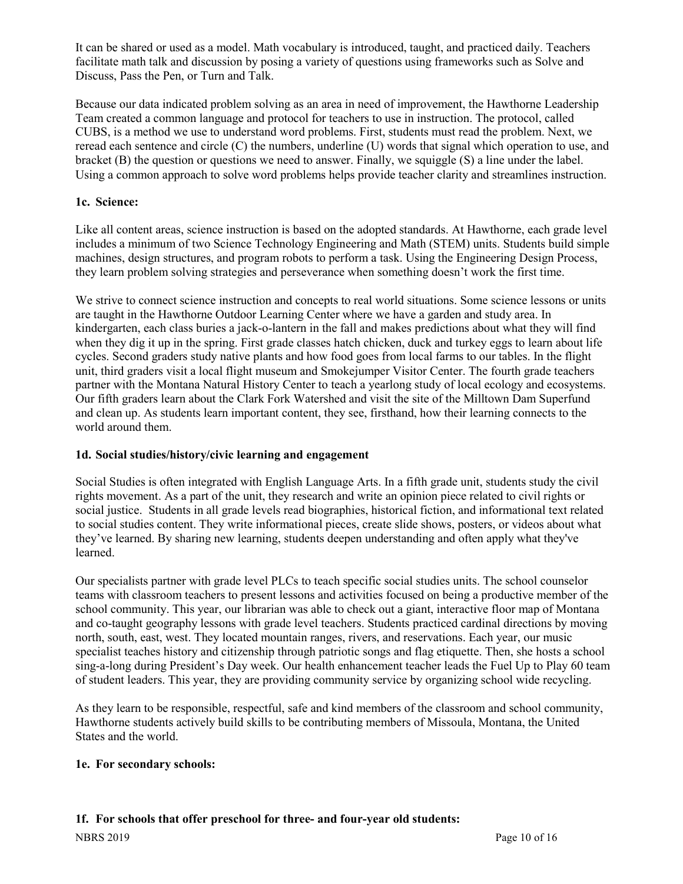It can be shared or used as a model. Math vocabulary is introduced, taught, and practiced daily. Teachers facilitate math talk and discussion by posing a variety of questions using frameworks such as Solve and Discuss, Pass the Pen, or Turn and Talk.

Because our data indicated problem solving as an area in need of improvement, the Hawthorne Leadership Team created a common language and protocol for teachers to use in instruction. The protocol, called CUBS, is a method we use to understand word problems. First, students must read the problem. Next, we reread each sentence and circle (C) the numbers, underline (U) words that signal which operation to use, and bracket (B) the question or questions we need to answer. Finally, we squiggle (S) a line under the label. Using a common approach to solve word problems helps provide teacher clarity and streamlines instruction.

# **1c. Science:**

Like all content areas, science instruction is based on the adopted standards. At Hawthorne, each grade level includes a minimum of two Science Technology Engineering and Math (STEM) units. Students build simple machines, design structures, and program robots to perform a task. Using the Engineering Design Process, they learn problem solving strategies and perseverance when something doesn't work the first time.

We strive to connect science instruction and concepts to real world situations. Some science lessons or units are taught in the Hawthorne Outdoor Learning Center where we have a garden and study area. In kindergarten, each class buries a jack-o-lantern in the fall and makes predictions about what they will find when they dig it up in the spring. First grade classes hatch chicken, duck and turkey eggs to learn about life cycles. Second graders study native plants and how food goes from local farms to our tables. In the flight unit, third graders visit a local flight museum and Smokejumper Visitor Center. The fourth grade teachers partner with the Montana Natural History Center to teach a yearlong study of local ecology and ecosystems. Our fifth graders learn about the Clark Fork Watershed and visit the site of the Milltown Dam Superfund and clean up. As students learn important content, they see, firsthand, how their learning connects to the world around them.

# **1d. Social studies/history/civic learning and engagement**

Social Studies is often integrated with English Language Arts. In a fifth grade unit, students study the civil rights movement. As a part of the unit, they research and write an opinion piece related to civil rights or social justice. Students in all grade levels read biographies, historical fiction, and informational text related to social studies content. They write informational pieces, create slide shows, posters, or videos about what they've learned. By sharing new learning, students deepen understanding and often apply what they've learned.

Our specialists partner with grade level PLCs to teach specific social studies units. The school counselor teams with classroom teachers to present lessons and activities focused on being a productive member of the school community. This year, our librarian was able to check out a giant, interactive floor map of Montana and co-taught geography lessons with grade level teachers. Students practiced cardinal directions by moving north, south, east, west. They located mountain ranges, rivers, and reservations. Each year, our music specialist teaches history and citizenship through patriotic songs and flag etiquette. Then, she hosts a school sing-a-long during President's Day week. Our health enhancement teacher leads the Fuel Up to Play 60 team of student leaders. This year, they are providing community service by organizing school wide recycling.

As they learn to be responsible, respectful, safe and kind members of the classroom and school community, Hawthorne students actively build skills to be contributing members of Missoula, Montana, the United States and the world.

#### **1e. For secondary schools:**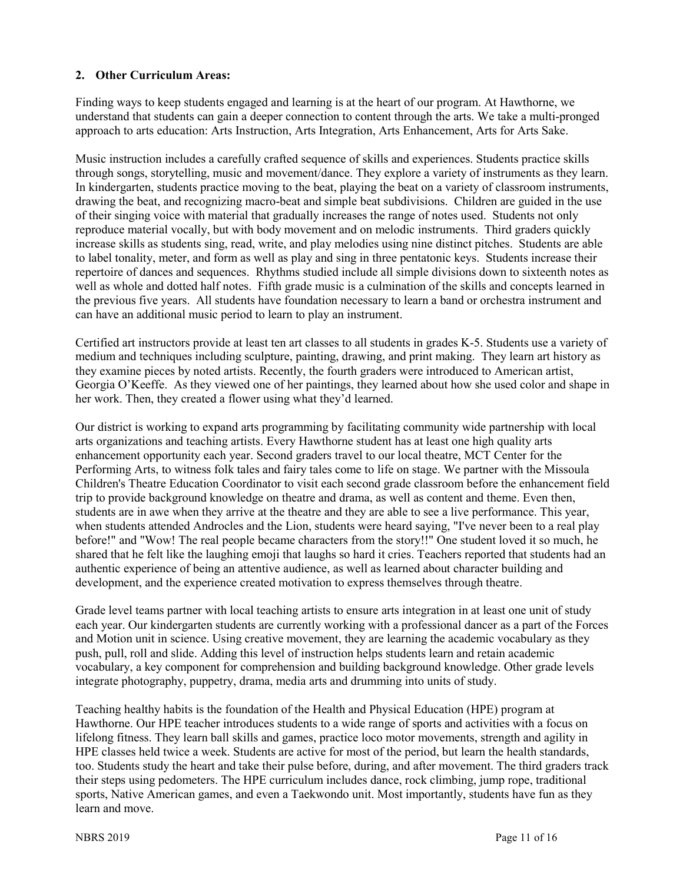### **2. Other Curriculum Areas:**

Finding ways to keep students engaged and learning is at the heart of our program. At Hawthorne, we understand that students can gain a deeper connection to content through the arts. We take a multi-pronged approach to arts education: Arts Instruction, Arts Integration, Arts Enhancement, Arts for Arts Sake.

Music instruction includes a carefully crafted sequence of skills and experiences. Students practice skills through songs, storytelling, music and movement/dance. They explore a variety of instruments as they learn. In kindergarten, students practice moving to the beat, playing the beat on a variety of classroom instruments, drawing the beat, and recognizing macro-beat and simple beat subdivisions. Children are guided in the use of their singing voice with material that gradually increases the range of notes used. Students not only reproduce material vocally, but with body movement and on melodic instruments. Third graders quickly increase skills as students sing, read, write, and play melodies using nine distinct pitches. Students are able to label tonality, meter, and form as well as play and sing in three pentatonic keys. Students increase their repertoire of dances and sequences. Rhythms studied include all simple divisions down to sixteenth notes as well as whole and dotted half notes. Fifth grade music is a culmination of the skills and concepts learned in the previous five years. All students have foundation necessary to learn a band or orchestra instrument and can have an additional music period to learn to play an instrument.

Certified art instructors provide at least ten art classes to all students in grades K-5. Students use a variety of medium and techniques including sculpture, painting, drawing, and print making. They learn art history as they examine pieces by noted artists. Recently, the fourth graders were introduced to American artist, Georgia O'Keeffe. As they viewed one of her paintings, they learned about how she used color and shape in her work. Then, they created a flower using what they'd learned.

Our district is working to expand arts programming by facilitating community wide partnership with local arts organizations and teaching artists. Every Hawthorne student has at least one high quality arts enhancement opportunity each year. Second graders travel to our local theatre, MCT Center for the Performing Arts, to witness folk tales and fairy tales come to life on stage. We partner with the Missoula Children's Theatre Education Coordinator to visit each second grade classroom before the enhancement field trip to provide background knowledge on theatre and drama, as well as content and theme. Even then, students are in awe when they arrive at the theatre and they are able to see a live performance. This year, when students attended Androcles and the Lion, students were heard saying, "I've never been to a real play before!" and "Wow! The real people became characters from the story!!" One student loved it so much, he shared that he felt like the laughing emoji that laughs so hard it cries. Teachers reported that students had an authentic experience of being an attentive audience, as well as learned about character building and development, and the experience created motivation to express themselves through theatre.

Grade level teams partner with local teaching artists to ensure arts integration in at least one unit of study each year. Our kindergarten students are currently working with a professional dancer as a part of the Forces and Motion unit in science. Using creative movement, they are learning the academic vocabulary as they push, pull, roll and slide. Adding this level of instruction helps students learn and retain academic vocabulary, a key component for comprehension and building background knowledge. Other grade levels integrate photography, puppetry, drama, media arts and drumming into units of study.

Teaching healthy habits is the foundation of the Health and Physical Education (HPE) program at Hawthorne. Our HPE teacher introduces students to a wide range of sports and activities with a focus on lifelong fitness. They learn ball skills and games, practice loco motor movements, strength and agility in HPE classes held twice a week. Students are active for most of the period, but learn the health standards, too. Students study the heart and take their pulse before, during, and after movement. The third graders track their steps using pedometers. The HPE curriculum includes dance, rock climbing, jump rope, traditional sports, Native American games, and even a Taekwondo unit. Most importantly, students have fun as they learn and move.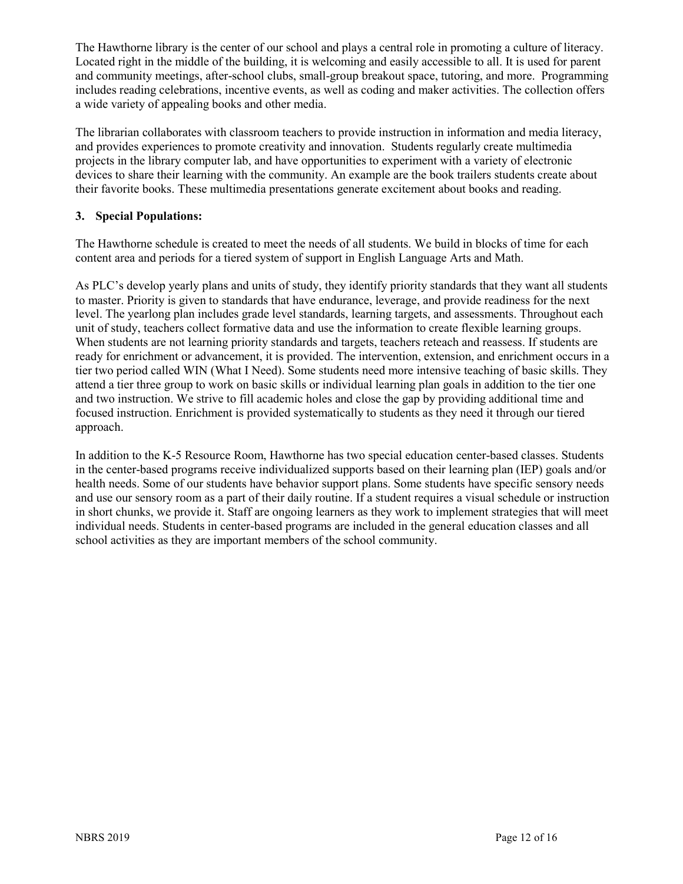The Hawthorne library is the center of our school and plays a central role in promoting a culture of literacy. Located right in the middle of the building, it is welcoming and easily accessible to all. It is used for parent and community meetings, after-school clubs, small-group breakout space, tutoring, and more. Programming includes reading celebrations, incentive events, as well as coding and maker activities. The collection offers a wide variety of appealing books and other media.

The librarian collaborates with classroom teachers to provide instruction in information and media literacy, and provides experiences to promote creativity and innovation. Students regularly create multimedia projects in the library computer lab, and have opportunities to experiment with a variety of electronic devices to share their learning with the community. An example are the book trailers students create about their favorite books. These multimedia presentations generate excitement about books and reading.

### **3. Special Populations:**

The Hawthorne schedule is created to meet the needs of all students. We build in blocks of time for each content area and periods for a tiered system of support in English Language Arts and Math.

As PLC's develop yearly plans and units of study, they identify priority standards that they want all students to master. Priority is given to standards that have endurance, leverage, and provide readiness for the next level. The yearlong plan includes grade level standards, learning targets, and assessments. Throughout each unit of study, teachers collect formative data and use the information to create flexible learning groups. When students are not learning priority standards and targets, teachers reteach and reassess. If students are ready for enrichment or advancement, it is provided. The intervention, extension, and enrichment occurs in a tier two period called WIN (What I Need). Some students need more intensive teaching of basic skills. They attend a tier three group to work on basic skills or individual learning plan goals in addition to the tier one and two instruction. We strive to fill academic holes and close the gap by providing additional time and focused instruction. Enrichment is provided systematically to students as they need it through our tiered approach.

In addition to the K-5 Resource Room, Hawthorne has two special education center-based classes. Students in the center-based programs receive individualized supports based on their learning plan (IEP) goals and/or health needs. Some of our students have behavior support plans. Some students have specific sensory needs and use our sensory room as a part of their daily routine. If a student requires a visual schedule or instruction in short chunks, we provide it. Staff are ongoing learners as they work to implement strategies that will meet individual needs. Students in center-based programs are included in the general education classes and all school activities as they are important members of the school community.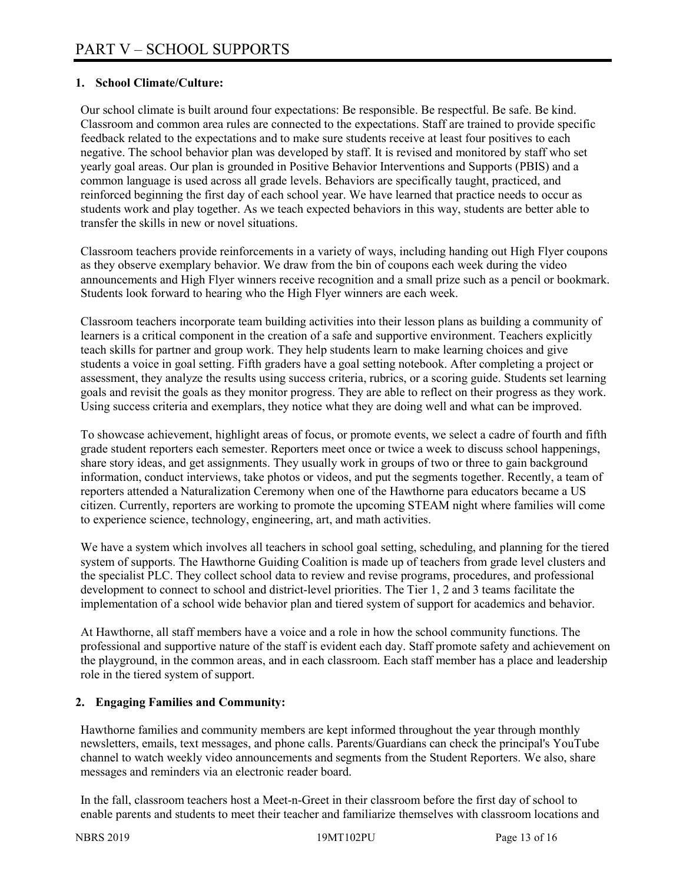### **1. School Climate/Culture:**

Our school climate is built around four expectations: Be responsible. Be respectful. Be safe. Be kind. Classroom and common area rules are connected to the expectations. Staff are trained to provide specific feedback related to the expectations and to make sure students receive at least four positives to each negative. The school behavior plan was developed by staff. It is revised and monitored by staff who set yearly goal areas. Our plan is grounded in Positive Behavior Interventions and Supports (PBIS) and a common language is used across all grade levels. Behaviors are specifically taught, practiced, and reinforced beginning the first day of each school year. We have learned that practice needs to occur as students work and play together. As we teach expected behaviors in this way, students are better able to transfer the skills in new or novel situations.

Classroom teachers provide reinforcements in a variety of ways, including handing out High Flyer coupons as they observe exemplary behavior. We draw from the bin of coupons each week during the video announcements and High Flyer winners receive recognition and a small prize such as a pencil or bookmark. Students look forward to hearing who the High Flyer winners are each week.

Classroom teachers incorporate team building activities into their lesson plans as building a community of learners is a critical component in the creation of a safe and supportive environment. Teachers explicitly teach skills for partner and group work. They help students learn to make learning choices and give students a voice in goal setting. Fifth graders have a goal setting notebook. After completing a project or assessment, they analyze the results using success criteria, rubrics, or a scoring guide. Students set learning goals and revisit the goals as they monitor progress. They are able to reflect on their progress as they work. Using success criteria and exemplars, they notice what they are doing well and what can be improved.

To showcase achievement, highlight areas of focus, or promote events, we select a cadre of fourth and fifth grade student reporters each semester. Reporters meet once or twice a week to discuss school happenings, share story ideas, and get assignments. They usually work in groups of two or three to gain background information, conduct interviews, take photos or videos, and put the segments together. Recently, a team of reporters attended a Naturalization Ceremony when one of the Hawthorne para educators became a US citizen. Currently, reporters are working to promote the upcoming STEAM night where families will come to experience science, technology, engineering, art, and math activities.

We have a system which involves all teachers in school goal setting, scheduling, and planning for the tiered system of supports. The Hawthorne Guiding Coalition is made up of teachers from grade level clusters and the specialist PLC. They collect school data to review and revise programs, procedures, and professional development to connect to school and district-level priorities. The Tier 1, 2 and 3 teams facilitate the implementation of a school wide behavior plan and tiered system of support for academics and behavior.

At Hawthorne, all staff members have a voice and a role in how the school community functions. The professional and supportive nature of the staff is evident each day. Staff promote safety and achievement on the playground, in the common areas, and in each classroom. Each staff member has a place and leadership role in the tiered system of support.

#### **2. Engaging Families and Community:**

Hawthorne families and community members are kept informed throughout the year through monthly newsletters, emails, text messages, and phone calls. Parents/Guardians can check the principal's YouTube channel to watch weekly video announcements and segments from the Student Reporters. We also, share messages and reminders via an electronic reader board.

In the fall, classroom teachers host a Meet-n-Greet in their classroom before the first day of school to enable parents and students to meet their teacher and familiarize themselves with classroom locations and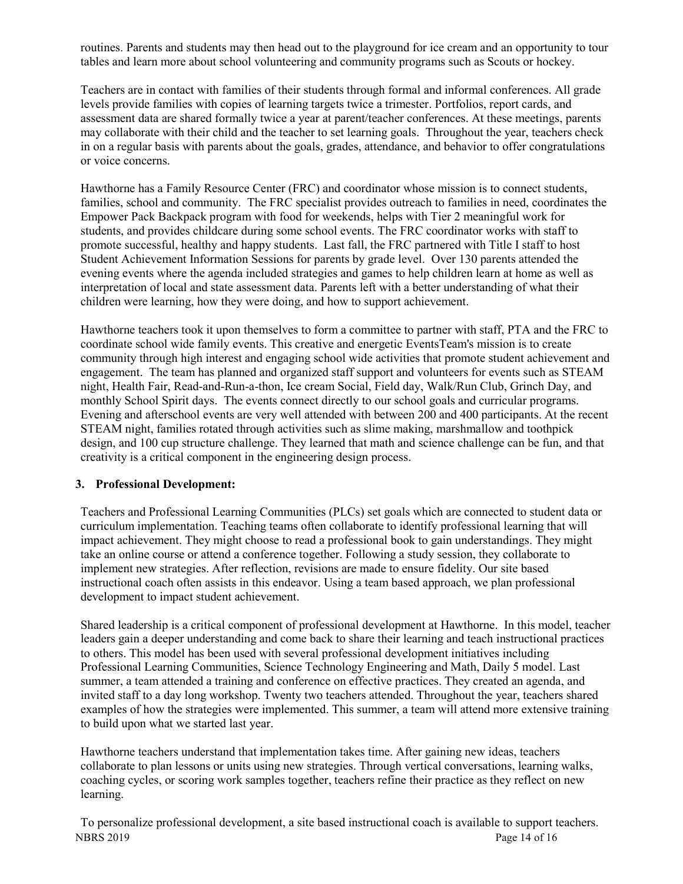routines. Parents and students may then head out to the playground for ice cream and an opportunity to tour tables and learn more about school volunteering and community programs such as Scouts or hockey.

Teachers are in contact with families of their students through formal and informal conferences. All grade levels provide families with copies of learning targets twice a trimester. Portfolios, report cards, and assessment data are shared formally twice a year at parent/teacher conferences. At these meetings, parents may collaborate with their child and the teacher to set learning goals. Throughout the year, teachers check in on a regular basis with parents about the goals, grades, attendance, and behavior to offer congratulations or voice concerns.

Hawthorne has a Family Resource Center (FRC) and coordinator whose mission is to connect students, families, school and community. The FRC specialist provides outreach to families in need, coordinates the Empower Pack Backpack program with food for weekends, helps with Tier 2 meaningful work for students, and provides childcare during some school events. The FRC coordinator works with staff to promote successful, healthy and happy students. Last fall, the FRC partnered with Title I staff to host Student Achievement Information Sessions for parents by grade level. Over 130 parents attended the evening events where the agenda included strategies and games to help children learn at home as well as interpretation of local and state assessment data. Parents left with a better understanding of what their children were learning, how they were doing, and how to support achievement.

Hawthorne teachers took it upon themselves to form a committee to partner with staff, PTA and the FRC to coordinate school wide family events. This creative and energetic EventsTeam's mission is to create community through high interest and engaging school wide activities that promote student achievement and engagement. The team has planned and organized staff support and volunteers for events such as STEAM night, Health Fair, Read-and-Run-a-thon, Ice cream Social, Field day, Walk/Run Club, Grinch Day, and monthly School Spirit days. The events connect directly to our school goals and curricular programs. Evening and afterschool events are very well attended with between 200 and 400 participants. At the recent STEAM night, families rotated through activities such as slime making, marshmallow and toothpick design, and 100 cup structure challenge. They learned that math and science challenge can be fun, and that creativity is a critical component in the engineering design process.

#### **3. Professional Development:**

Teachers and Professional Learning Communities (PLCs) set goals which are connected to student data or curriculum implementation. Teaching teams often collaborate to identify professional learning that will impact achievement. They might choose to read a professional book to gain understandings. They might take an online course or attend a conference together. Following a study session, they collaborate to implement new strategies. After reflection, revisions are made to ensure fidelity. Our site based instructional coach often assists in this endeavor. Using a team based approach, we plan professional development to impact student achievement.

Shared leadership is a critical component of professional development at Hawthorne. In this model, teacher leaders gain a deeper understanding and come back to share their learning and teach instructional practices to others. This model has been used with several professional development initiatives including Professional Learning Communities, Science Technology Engineering and Math, Daily 5 model. Last summer, a team attended a training and conference on effective practices. They created an agenda, and invited staff to a day long workshop. Twenty two teachers attended. Throughout the year, teachers shared examples of how the strategies were implemented. This summer, a team will attend more extensive training to build upon what we started last year.

Hawthorne teachers understand that implementation takes time. After gaining new ideas, teachers collaborate to plan lessons or units using new strategies. Through vertical conversations, learning walks, coaching cycles, or scoring work samples together, teachers refine their practice as they reflect on new learning.

NBRS 2019 Page 14 of 16 To personalize professional development, a site based instructional coach is available to support teachers.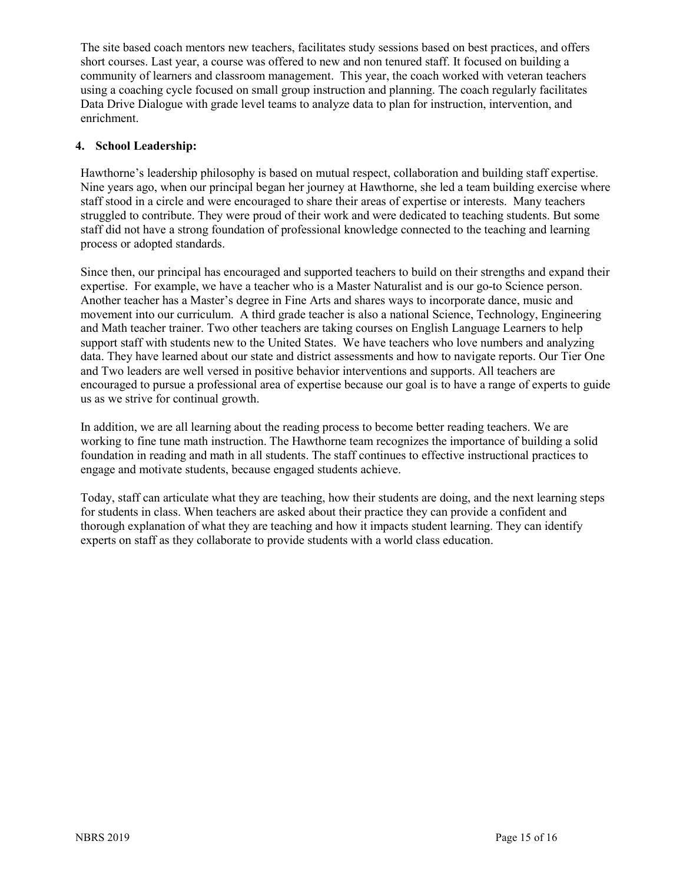The site based coach mentors new teachers, facilitates study sessions based on best practices, and offers short courses. Last year, a course was offered to new and non tenured staff. It focused on building a community of learners and classroom management. This year, the coach worked with veteran teachers using a coaching cycle focused on small group instruction and planning. The coach regularly facilitates Data Drive Dialogue with grade level teams to analyze data to plan for instruction, intervention, and enrichment.

# **4. School Leadership:**

Hawthorne's leadership philosophy is based on mutual respect, collaboration and building staff expertise. Nine years ago, when our principal began her journey at Hawthorne, she led a team building exercise where staff stood in a circle and were encouraged to share their areas of expertise or interests. Many teachers struggled to contribute. They were proud of their work and were dedicated to teaching students. But some staff did not have a strong foundation of professional knowledge connected to the teaching and learning process or adopted standards.

Since then, our principal has encouraged and supported teachers to build on their strengths and expand their expertise. For example, we have a teacher who is a Master Naturalist and is our go-to Science person. Another teacher has a Master's degree in Fine Arts and shares ways to incorporate dance, music and movement into our curriculum. A third grade teacher is also a national Science, Technology, Engineering and Math teacher trainer. Two other teachers are taking courses on English Language Learners to help support staff with students new to the United States. We have teachers who love numbers and analyzing data. They have learned about our state and district assessments and how to navigate reports. Our Tier One and Two leaders are well versed in positive behavior interventions and supports. All teachers are encouraged to pursue a professional area of expertise because our goal is to have a range of experts to guide us as we strive for continual growth.

In addition, we are all learning about the reading process to become better reading teachers. We are working to fine tune math instruction. The Hawthorne team recognizes the importance of building a solid foundation in reading and math in all students. The staff continues to effective instructional practices to engage and motivate students, because engaged students achieve.

Today, staff can articulate what they are teaching, how their students are doing, and the next learning steps for students in class. When teachers are asked about their practice they can provide a confident and thorough explanation of what they are teaching and how it impacts student learning. They can identify experts on staff as they collaborate to provide students with a world class education.